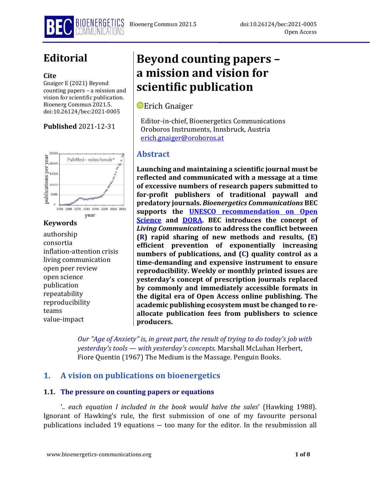

# **Editorial**

#### **Cite**

Gnaiger E (2021) Beyond counting papers – a mission and vision for scientific publication. Bioenerg Commun 2021.5. doi:10.26124/bec:2021-0005

## **Published** 2021-12-31



## **Keywords**

authorship consortia inflation-attention crisis living communication open peer review open science publication repeatability reproducibility teams value-impact

# **Beyond counting papers – a mission and vision for scientific publication**

# **D** Erich Gnaiger

Editor-in-chief, Bioenergetics Communications Oroboros Instruments, Innsbruck, Austria [erich.gnaiger@oroboros.at](mailto:erich.gnaiger@oroboros.at)

# **Abstract**

**Launching and maintaining a scientific journal must be reflected and communicated with a message at a time of excessive numbers of research papers submitted to for-profit publishers of traditional paywall and predatory journals.** *Bioenergetics Communications* **BEC supports the [UNESCO recommendation](https://unesdoc.unesco.org/ark:/48223/pf0000378841/PDF/378841eng.pdf.multi) on Open [Science](https://unesdoc.unesco.org/ark:/48223/pf0000378841/PDF/378841eng.pdf.multi) and [DORA.](https://sfdora.org/) BEC introduces the concept of**  *Living Communications* **to address the conflict between (R) rapid sharing of new methods and results, (E) efficient prevention of exponentially increasing numbers of publications, and (C) quality control as a time-demanding and expensive instrument to ensure reproducibility. Weekly or monthly printed issues are yesterday's concept of prescription journals replaced by commonly and immediately accessible formats in the digital era of Open Access online publishing. The academic publishing ecosystem must be changed to reallocate publication fees from publishers to science producers.**

*Our "Age of Anxiety" is, in great part, the result of trying to do today's job with yesterday's tools — with yesterday's concepts.* Marshall McLuhan Herbert, Fiore Quentin (1967) The Medium is the Massage. Penguin Books.

## **1. A vision on publications on bioenergetics**

### **1.1. The pressure on counting papers or equations**

'*.. each equation I included in the book would halve the sales*' (Hawking 1988). Ignorant of Hawking's rule, the first submission of one of my favourite personal publications included 19 equations ― too many for the editor. In the resubmission all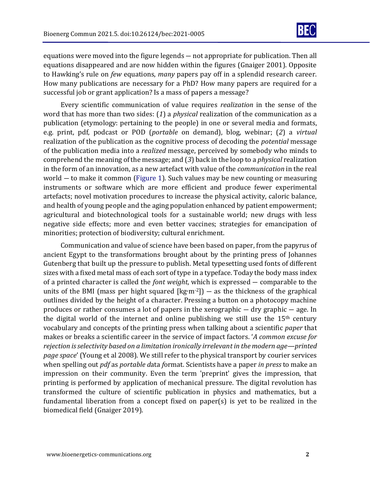

equations were moved into the figure legends ― not appropriate for publication. Then all equations disappeared and are now hidden within the figures (Gnaiger 2001). Opposite to Hawking's rule on *few* equations, *many* papers pay off in a splendid research career. How many publications are necessary for a PhD? How many papers are required for a successful job or grant application? Is a mass of papers a message?

Every scientific communication of value requires *realization* in the sense of the word that has more than two sides: (*1*) a *physical* realization of the communication as a publication (etymology: pertaining to the people) in one or several media and formats, e.g. print, pdf, podcast or POD (*portable* on demand), blog, webinar; (*2*) a *virtual* realization of the publication as the cognitive process of decoding the *potential* message of the publication media into a *realized* message, perceived by somebody who minds to comprehend the meaning of the message; and (*3*) back in the loop to a *physical* realization in the form of an innovation, as a new artefact with value of the *communication* in the real world ― to make it common (Figure 1). Such values may be new counting or measuring instruments or software which are more efficient and produce fewer experimental artefacts; novel motivation procedures to increase the physical activity, caloric balance, and health of young people and the aging population enhanced by patient empowerment; agricultural and biotechnological tools for a sustainable world; new drugs with less negative side effects; more and even better vaccines; strategies for emancipation of minorities; protection of biodiversity; cultural enrichment.

Communication and value of science have been based on paper, from the papyrus of ancient Egypt to the transformations brought about by the printing press of Johannes Gutenberg that built up the pressure to publish. Metal typesetting used fonts of different sizes with a fixed metal mass of each sort of type in a typeface. Today the body mass index of a printed character is called the *font weight*, which is expressed ― comparable to the units of the BMI (mass per hight squared  $[\text{kg} \cdot \text{m} \cdot 2]$ ) — as the thickness of the graphical outlines divided by the height of a character. Pressing a button on a photocopy machine produces or rather consumes a lot of papers in the xerographic ― dry graphic ― age. In the digital world of the internet and online publishing we still use the  $15<sup>th</sup>$  century vocabulary and concepts of the printing press when talking about a scientific *paper* that makes or breaks a scientific career in the service of impact factors. '*A common excuse for rejection is selectivity based on a limitation ironically irrelevant in the modern age—printed page space*' (Young et al 2008). We still refer to the physical transport by courier services when spelling out *pdf* as *portable d*ata *f*ormat. Scientists have a paper *in press* to make an impression on their community. Even the term 'preprint' gives the impression, that printing is performed by application of mechanical pressure. The digital revolution has transformed the culture of scientific publication in physics and mathematics, but a fundamental liberation from a concept fixed on paper(s) is yet to be realized in the biomedical field (Gnaiger 2019).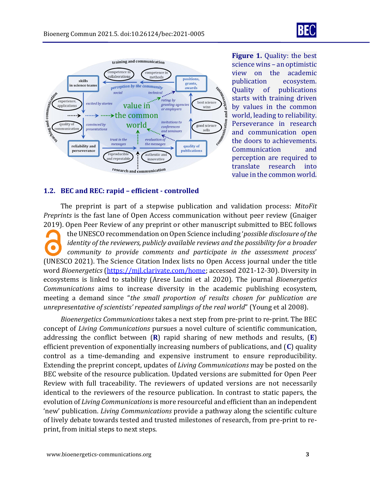

**Figure 1.** Quality: the best science wins – an optimistic view on the academic publication ecosystem. Quality of publications starts with training driven by values in the common world, leading to reliability. Perseverance in research and communication open the doors to achievements. Communication and perception are required to translate research into value in the common world.

#### **1.2. BEC and REC: rapid – efficient - controlled**

The preprint is part of a stepwise publication and validation process: *MitoFit Preprints* is the fast lane of Open Access communication without peer review (Gnaiger 2019). Open Peer Review of any preprint or other manuscript submitted to BEC follows

the UNESCO recommendation on Open Science including '*possible disclosure of the identity of the reviewers, publicly available reviews and the possibility for a broader community to provide comments and participate in the assessment process*' (UNESCO 2021). The Science Citation Index lists no Open Access journal under the title word *Bioenergetics* [\(https://mjl.clarivate.com/home;](https://mjl.clarivate.com/home) accessed 2021-12-30). Diversity in ecosystems is linked to stability (Arese Lucini et al 2020). The journal *Bioenergetics Communications* aims to increase diversity in the academic publishing ecosystem, meeting a demand since "*the small proportion of results chosen for publication are unrepresentative of scientists' repeated samplings of the real world*" (Young et al 2008).

*Bioenergetics Communications* takes a next step from pre-print to re-print. The BEC concept of *Living Communications* pursues a novel culture of scientific communication, addressing the conflict between (**R**) rapid sharing of new methods and results, (**E**) efficient prevention of exponentially increasing numbers of publications, and (**C**) quality control as a time-demanding and expensive instrument to ensure reproducibility. Extending the preprint concept, updates of *Living Communications* may be posted on the BEC website of the resource publication. Updated versions are submitted for Open Peer Review with full traceability. The reviewers of updated versions are not necessarily identical to the reviewers of the resource publication. In contrast to static papers, the evolution of *Living Communications*is more resourceful and efficient than an independent 'new' publication. *Living Communications* provide a pathway along the scientific culture of lively debate towards tested and trusted milestones of research, from pre-print to reprint, from initial steps to next steps.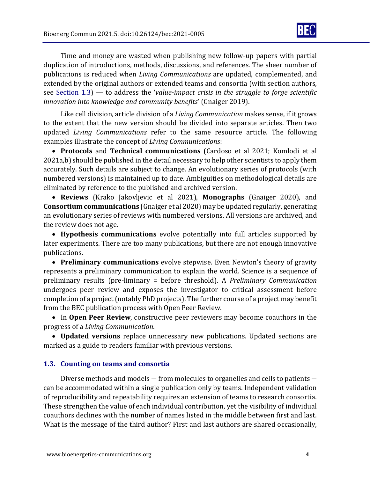

Time and money are wasted when publishing new follow-up papers with partial duplication of introductions, methods, discussions, and references. The sheer number of publications is reduced when *Living Communications* are updated, complemented, and extended by the original authors or extended teams and consortia (with section authors, see Section 1.3) — to address the '*value-impact crisis in the struggle to forge scientific innovation into knowledge and community benefits*' (Gnaiger 2019).

Like cell division, article division of a *Living Communication* makes sense, if it grows to the extent that the new version should be divided into separate articles. Then two updated *Living Communications* refer to the same resource article. The following examples illustrate the concept of *Living Communications*:

• **Protocols** and **Technical communications** (Cardoso et al 2021; Komlodi et al 2021a,b) should be published in the detail necessary to help other scientists to apply them accurately. Such details are subject to change. An evolutionary series of protocols (with numbered versions) is maintained up to date. Ambiguities on methodological details are eliminated by reference to the published and archived version.

• **Reviews** (Krako Jakovljevic et al 2021), **Monographs** (Gnaiger 2020), and **Consortium communications** (Gnaiger et al 2020) may be updated regularly, generating an evolutionary series of reviews with numbered versions. All versions are archived, and the review does not age.

• **Hypothesis communications** evolve potentially into full articles supported by later experiments. There are too many publications, but there are not enough innovative publications.

• **Preliminary communications** evolve stepwise. Even Newton's theory of gravity represents a preliminary communication to explain the world. Science is a sequence of preliminary results (pre-liminary = before threshold). A *Preliminary Communication* undergoes peer review and exposes the investigator to critical assessment before completion of a project (notably PhD projects). The further course of a project may benefit from the BEC publication process with Open Peer Review.

• In **Open Peer Review**, constructive peer reviewers may become coauthors in the progress of a *Living Communication*.

• **Updated versions** replace unnecessary new publications. Updated sections are marked as a guide to readers familiar with previous versions.

### **1.3. Counting on teams and consortia**

Diverse methods and models ― from molecules to organelles and cells to patients ― can be accommodated within a single publication only by teams. Independent validation of reproducibility and repeatability requires an extension of teams to research consortia. These strengthen the value of each individual contribution, yet the visibility of individual coauthors declines with the number of names listed in the middle between first and last. What is the message of the third author? First and last authors are shared occasionally,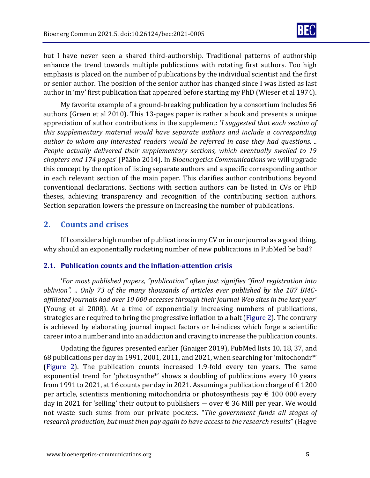

but I have never seen a shared third-authorship. Traditional patterns of authorship enhance the trend towards multiple publications with rotating first authors. Too high emphasis is placed on the number of publications by the individual scientist and the first or senior author. The position of the senior author has changed since I was listed as last author in 'my' first publication that appeared before starting my PhD (Wieser et al 1974).

My favorite example of a ground-breaking publication by a consortium includes 56 authors (Green et al 2010). This 13-pages paper is rather a book and presents a unique appreciation of author contributions in the supplement: '*I suggested that each section of this supplementary material would have separate authors and include a corresponding author to whom any interested readers would be referred in case they had questions. .. People actually delivered their supplementary sections, which eventually swelled to 19 chapters and 174 pages*' (Pääbo 2014). In *Bioenergetics Communications* we will upgrade this concept by the option of listing separate authors and a specific corresponding author in each relevant section of the main paper. This clarifies author contributions beyond conventional declarations. Sections with section authors can be listed in CVs or PhD theses, achieving transparency and recognition of the contributing section authors. Section separation lowers the pressure on increasing the number of publications.

## **2. Counts and crises**

If I consider a high number of publications in my CV or in our journal as a good thing, why should an exponentially rocketing number of new publications in PubMed be bad?

### **2.1. Publication counts and the inflation-attention crisis**

'*For most published papers, "publication" often just signifies "final registration into oblivion". .. Only 73 of the many thousands of articles ever published by the 187 BMCaffiliated journals had over 10 000 accesses through their journal Web sites in the last year*' (Young et al 2008). At a time of exponentially increasing numbers of publications, strategies are required to bring the progressive inflation to a halt (Figure 2). The contrary is achieved by elaborating journal impact factors or h-indices which forge a scientific career into a number and into an addiction and craving to increase the publication counts.

Updating the figures presented earlier (Gnaiger 2019), PubMed lists 10, 18, 37, and 68 publications per day in 1991, 2001, 2011, and 2021, when searching for 'mitochondr\*' (Figure 2). The publication counts increased 1.9-fold every ten years. The same exponential trend for 'photosynthe\*' shows a doubling of publications every 10 years from 1991 to 2021, at 16 counts per day in 2021. Assuming a publication charge of  $\epsilon$  1200 per article, scientists mentioning mitochondria or photosynthesis pay  $\epsilon$  100 000 every day in 2021 for 'selling' their output to publishers — over  $\epsilon$  36 Mill per year. We would not waste such sums from our private pockets. "*The government funds all stages of research production, but must then pay again to have access to the research results*" (Hagve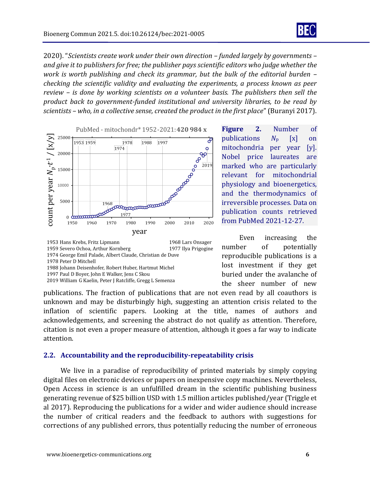

2020). "*Scientists create work under their own direction – funded largely by governments – and give it to publishers for free; the publisher pays scientific editors who judge whether the work is worth publishing and check its grammar, but the bulk of the editorial burden – checking the scientific validity and evaluating the experiments, a process known as peer review – is done by working scientists on a volunteer basis. The publishers then sell the product back to government-funded institutional and university libraries, to be read by scientists – who, in a collective sense, created the product in the first place*" (Buranyi 2017).





**Figure 2.** Number of publications *N*<sup>p</sup> [x] on mitochondria per year [y]. Nobel price laureates are marked who are particularly relevant for mitochondrial physiology and bioenergetics, and the thermodynamics of irreversible processes. Data on publication counts retrieved from PubMed 2021-12-27.

Even increasing the number of potentially reproducible publications is a lost investment if they get buried under the avalanche of the sheer number of new

publications. The fraction of publications that are not even read by all coauthors is unknown and may be disturbingly high, suggesting an attention crisis related to the inflation of scientific papers. Looking at the title, names of authors and acknowledgements, and screening the abstract do not qualify as attention. Therefore, citation is not even a proper measure of attention, although it goes a far way to indicate attention.

#### **2.2. Accountability and the reproducibility-repeatability crisis**

We live in a paradise of reproducibility of printed materials by simply copying digital files on electronic devices or papers on inexpensive copy machines. Nevertheless, Open Access in science is an unfulfilled dream in the scientific publishing business generating revenue of \$25 billion USD with 1.5 million articles published/year (Triggle et al 2017). Reproducing the publications for a wider and wider audience should increase the number of critical readers and the feedback to authors with suggestions for corrections of any published errors, thus potentially reducing the number of erroneous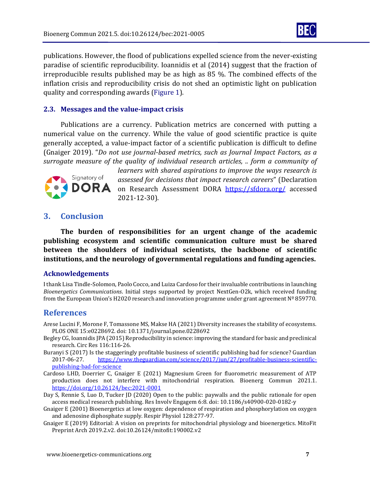

publications. However, the flood of publications expelled science from the never-existing paradise of scientific reproducibility. Ioannidis et al (2014) suggest that the fraction of irreproducible results published may be as high as 85 %. The combined effects of the inflation crisis and reproducibility crisis do not shed an optimistic light on publication quality and corresponding awards (Figure 1).

#### **2.3. Messages and the value-impact crisis**

Publications are a currency. Publication metrics are concerned with putting a numerical value on the currency. While the value of good scientific practice is quite generally accepted, a value-impact factor of a scientific publication is difficult to define (Gnaiger 2019). "*Do not use journal-based metrics, such as Journal Impact Factors, as a surrogate measure of the quality of individual research articles, .. form a community of* 



*learners with shared aspirations to improve the ways research is assessed for decisions that impact research careers*" (Declaration on Research Assessment DORA <https://sfdora.org/> accessed 2021-12-30).

### **3. Conclusion**

**The burden of responsibilities for an urgent change of the academic publishing ecosystem and scientific communication culture must be shared between the shoulders of individual scientists, the backbone of scientific institutions, and the neurology of governmental regulations and funding agencies.**

#### **Acknowledgements**

I thank Lisa Tindle-Solomon, Paolo Cocco, and Luiza Cardoso for their invaluable contributions in launching *Bioenergetics Communications*. Initial steps supported by project NextGen-O2k, which received funding from the European Union's H2020 research and innovation programme under grant agreement Nº 859770.

### **References**

- Arese Lucini F, Morone F, Tomassone MS, Makse HA (2021) Diversity increases the stability of ecosystems. PLOS ONE 15:e0228692. doi: 10.1371/journal.pone.0228692
- Begley CG, Ioannidis JPA (2015) Reproducibility in science: improving the standard for basic and preclinical research. Circ Res 116:116-26.
- Buranyi S (2017) Is the staggeringly profitable business of scientific publishing bad for science? Guardian 2017-06-27. [https://www.theguardian.com/science/2017/jun/27/profitable-business-scientific](https://www.theguardian.com/science/2017/jun/27/profitable-business-scientific-publishing-bad-for-science)[publishing-bad-for-science](https://www.theguardian.com/science/2017/jun/27/profitable-business-scientific-publishing-bad-for-science)
- Cardoso LHD, Doerrier C, Gnaiger E (2021) Magnesium Green for fluorometric measurement of ATP production does not interfere with mitochondrial respiration. Bioenerg Commun 2021.1. <https://doi.org/10.26124/bec:2021-0001>
- Day S, Rennie S, Luo D, Tucker JD (2020) Open to the public: paywalls and the public rationale for open access medical research publishing. Res Involv Engagem 6:8. doi: 10.1186/s40900-020-0182-y
- Gnaiger E (2001) Bioenergetics at low oxygen: dependence of respiration and phosphorylation on oxygen and adenosine diphosphate supply. Respir Physiol 128:277-97.
- Gnaiger E (2019) Editorial: A vision on preprints for mitochondrial physiology and bioenergetics. MitoFit Preprint Arch 2019.2.v2. doi:10.26124/mitofit:190002.v2